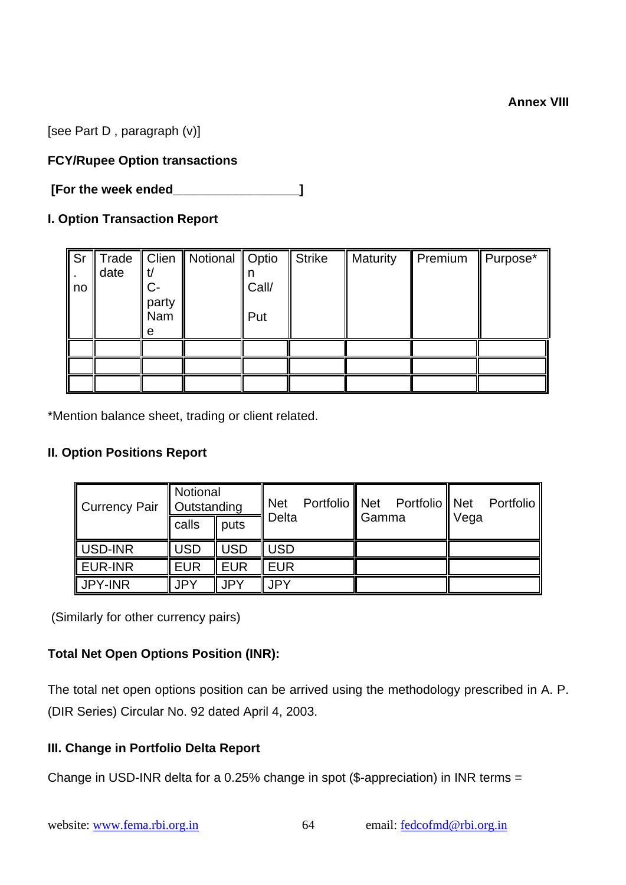[see Part D , paragraph (v)]

# **FCY/Rupee Option transactions**

 **[For the week ended\_\_\_\_\_\_\_\_\_\_\_\_\_\_\_\_\_\_]** 

## **I. Option Transaction Report**

|    | Sr Trade |       | Clien   Notional   Optio |       | <b>Strike</b> | <b>Maturity</b> | Premium<br>Ш | Purpose* |
|----|----------|-------|--------------------------|-------|---------------|-----------------|--------------|----------|
|    | date     |       |                          |       |               |                 |              |          |
| no |          | C-    |                          | Call/ |               |                 |              |          |
|    |          | party |                          |       |               |                 |              |          |
|    |          | Nam   |                          | Put   |               |                 |              |          |
|    |          | e     |                          |       |               |                 |              |          |
|    |          |       |                          |       |               |                 |              |          |
|    |          |       |                          |       |               |                 |              |          |
|    |          |       |                          |       |               |                 |              |          |

\*Mention balance sheet, trading or client related.

## **II. Option Positions Report**

| Currency Pair   Outstanding      | Notional   |              | <b>Net</b> |                | Portfolio Net Portfolio Net |      | Portfolio |
|----------------------------------|------------|--------------|------------|----------------|-----------------------------|------|-----------|
|                                  | calls      | $\vert$ puts | Delta      | <b>I</b> Gamma |                             | Vega |           |
| USD-INR                          | <b>USD</b> | <b>USD</b>   | <b>USD</b> |                |                             |      |           |
| $\overline{\phantom{a}}$ EUR-INR | <b>EUR</b> | <b>EUR</b>   | <b>EUR</b> |                |                             |      |           |
| JPY-INR                          | <b>JPY</b> | <b>JPY</b>   | <b>JPY</b> |                |                             |      |           |

(Similarly for other currency pairs)

## **Total Net Open Options Position (INR):**

The total net open options position can be arrived using the methodology prescribed in A. P. (DIR Series) Circular No. 92 dated April 4, 2003.

## **III. Change in Portfolio Delta Report**

Change in USD-INR delta for a 0.25% change in spot (\$-appreciation) in INR terms =